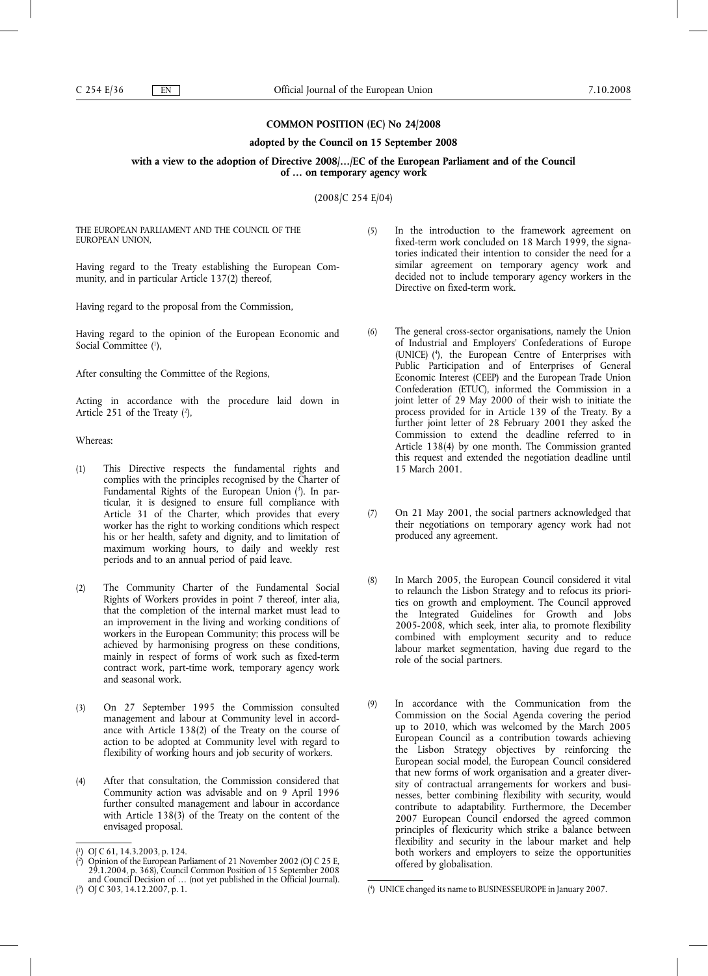# **COMMON POSITION (EC) No 24/2008**

### **adopted by the Council on 15 September 2008**

# **with a view to the adoption of Directive 2008/…/EC of the European Parliament and of the Council of … on temporary agency work**

(2008/C 254 E/04)

THE EUROPEAN PARLIAMENT AND THE COUNCIL OF THE EUROPEAN UNION,

Having regard to the Treaty establishing the European Community, and in particular Article 137(2) thereof,

Having regard to the proposal from the Commission,

Having regard to the opinion of the European Economic and Social Committee (1),

After consulting the Committee of the Regions,

Acting in accordance with the procedure laid down in Article 251 of the Treaty (2),

Whereas:

- (1) This Directive respects the fundamental rights and complies with the principles recognised by the Charter of Fundamental Rights of the European Union  $(3)$ . In particular, it is designed to ensure full compliance with Article 31 of the Charter, which provides that every worker has the right to working conditions which respect his or her health, safety and dignity, and to limitation of maximum working hours, to daily and weekly rest periods and to an annual period of paid leave.
- (2) The Community Charter of the Fundamental Social Rights of Workers provides in point 7 thereof, inter alia, that the completion of the internal market must lead to an improvement in the living and working conditions of workers in the European Community; this process will be achieved by harmonising progress on these conditions, mainly in respect of forms of work such as fixed-term contract work, part-time work, temporary agency work and seasonal work.
- (3) On 27 September 1995 the Commission consulted management and labour at Community level in accordance with Article 138(2) of the Treaty on the course of action to be adopted at Community level with regard to flexibility of working hours and job security of workers.
- (4) After that consultation, the Commission considered that Community action was advisable and on 9 April 1996 further consulted management and labour in accordance with Article 138(3) of the Treaty on the content of the envisaged proposal.
- (5) In the introduction to the framework agreement on fixed-term work concluded on 18 March 1999, the signatories indicated their intention to consider the need for a similar agreement on temporary agency work and decided not to include temporary agency workers in the Directive on fixed-term work.
- (6) The general cross-sector organisations, namely the Union of Industrial and Employers' Confederations of Europe (UNICE) (4 ), the European Centre of Enterprises with Public Participation and of Enterprises of General Economic Interest (CEEP) and the European Trade Union Confederation (ETUC), informed the Commission in a joint letter of 29 May 2000 of their wish to initiate the process provided for in Article 139 of the Treaty. By a further joint letter of 28 February 2001 they asked the Commission to extend the deadline referred to in Article 138(4) by one month. The Commission granted this request and extended the negotiation deadline until 15 March 2001.
- (7) On 21 May 2001, the social partners acknowledged that their negotiations on temporary agency work had not produced any agreement.
- (8) In March 2005, the European Council considered it vital to relaunch the Lisbon Strategy and to refocus its priorities on growth and employment. The Council approved the Integrated Guidelines for Growth and Jobs 2005-2008, which seek, inter alia, to promote flexibility combined with employment security and to reduce labour market segmentation, having due regard to the role of the social partners.
- (9) In accordance with the Communication from the Commission on the Social Agenda covering the period up to 2010, which was welcomed by the March 2005 European Council as a contribution towards achieving the Lisbon Strategy objectives by reinforcing the European social model, the European Council considered that new forms of work organisation and a greater diversity of contractual arrangements for workers and businesses, better combining flexibility with security, would contribute to adaptability. Furthermore, the December 2007 European Council endorsed the agreed common principles of flexicurity which strike a balance between flexibility and security in the labour market and help both workers and employers to seize the opportunities offered by globalisation.

<sup>(</sup> 1 ) OJ C 61, 14.3.2003, p. 124.

<sup>(</sup> 2 ) Opinion of the European Parliament of 21 November 2002 (OJ C 25 E, 29.1.2004, p. 368), Council Common Position of 15 September 2008 and Council Decision of … (not yet published in the Official Journal). ) OJ C 303, 14.12.2007, p. 1. (

<sup>(</sup> 3

<sup>4</sup> ) UNICE changed its name to BUSINESSEUROPE in January 2007.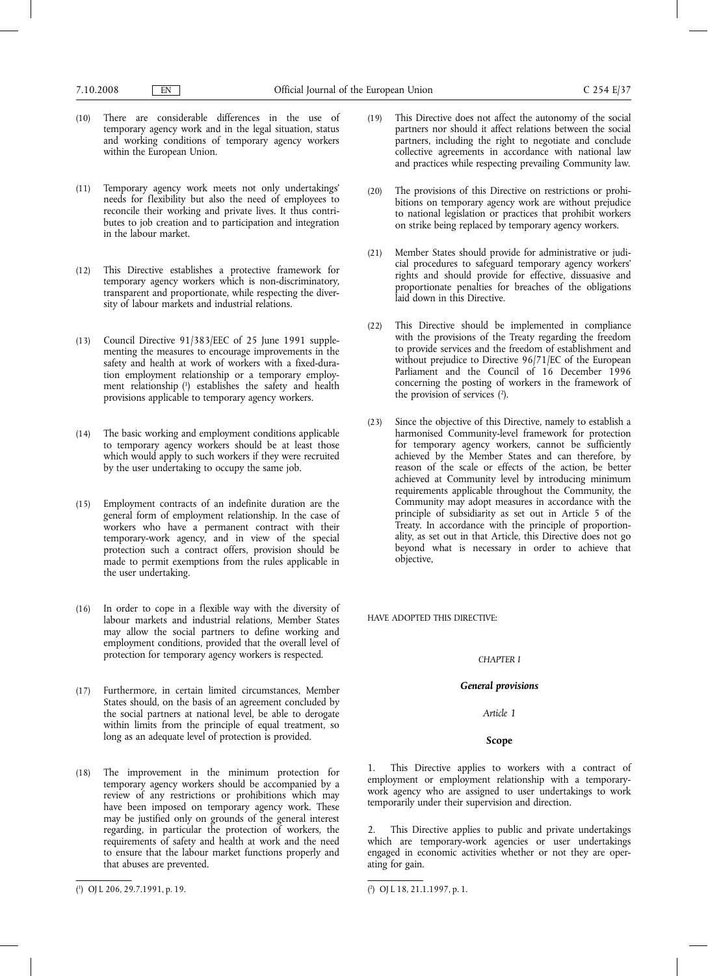- (10) There are considerable differences in the use of temporary agency work and in the legal situation, status and working conditions of temporary agency workers within the European Union.
- (11) Temporary agency work meets not only undertakings' needs for flexibility but also the need of employees to reconcile their working and private lives. It thus contributes to job creation and to participation and integration in the labour market.
- (12) This Directive establishes a protective framework for temporary agency workers which is non-discriminatory, transparent and proportionate, while respecting the diversity of labour markets and industrial relations.
- (13) Council Directive 91/383/EEC of 25 June 1991 supplementing the measures to encourage improvements in the safety and health at work of workers with a fixed-duration employment relationship or a temporary employment relationship (1 ) establishes the safety and health provisions applicable to temporary agency workers.
- (14) The basic working and employment conditions applicable to temporary agency workers should be at least those which would apply to such workers if they were recruited by the user undertaking to occupy the same job.
- (15) Employment contracts of an indefinite duration are the general form of employment relationship. In the case of workers who have a permanent contract with their temporary-work agency, and in view of the special protection such a contract offers, provision should be made to permit exemptions from the rules applicable in the user undertaking.
- (16) In order to cope in a flexible way with the diversity of labour markets and industrial relations, Member States may allow the social partners to define working and employment conditions, provided that the overall level of protection for temporary agency workers is respected.
- (17) Furthermore, in certain limited circumstances, Member States should, on the basis of an agreement concluded by the social partners at national level, be able to derogate within limits from the principle of equal treatment, so long as an adequate level of protection is provided.
- (18) The improvement in the minimum protection for temporary agency workers should be accompanied by a review of any restrictions or prohibitions which may have been imposed on temporary agency work. These may be justified only on grounds of the general interest regarding, in particular the protection of workers, the requirements of safety and health at work and the need to ensure that the labour market functions properly and that abuses are prevented.
- (19) This Directive does not affect the autonomy of the social partners nor should it affect relations between the social partners, including the right to negotiate and conclude collective agreements in accordance with national law and practices while respecting prevailing Community law.
- (20) The provisions of this Directive on restrictions or prohibitions on temporary agency work are without prejudice to national legislation or practices that prohibit workers on strike being replaced by temporary agency workers.
- (21) Member States should provide for administrative or judicial procedures to safeguard temporary agency workers' rights and should provide for effective, dissuasive and proportionate penalties for breaches of the obligations laid down in this Directive.
- (22) This Directive should be implemented in compliance with the provisions of the Treaty regarding the freedom to provide services and the freedom of establishment and without prejudice to Directive 96/71/EC of the European Parliament and the Council of 16 December 1996 concerning the posting of workers in the framework of the provision of services  $(2)$ .
- (23) Since the objective of this Directive, namely to establish a harmonised Community-level framework for protection for temporary agency workers, cannot be sufficiently achieved by the Member States and can therefore, by reason of the scale or effects of the action, be better achieved at Community level by introducing minimum requirements applicable throughout the Community, the Community may adopt measures in accordance with the principle of subsidiarity as set out in Article 5 of the Treaty. In accordance with the principle of proportionality, as set out in that Article, this Directive does not go beyond what is necessary in order to achieve that objective,

HAVE ADOPTED THIS DIRECTIVE:

# *CHAPTER I*

# *General provisions*

# *Article 1*

# **Scope**

1. This Directive applies to workers with a contract of employment or employment relationship with a temporarywork agency who are assigned to user undertakings to work temporarily under their supervision and direction.

2. This Directive applies to public and private undertakings which are temporary-work agencies or user undertakings engaged in economic activities whether or not they are operating for gain.

<sup>(</sup> 1 ) OJ L 206, 29.7.1991, p. 19. (

<sup>2</sup> ) OJ L 18, 21.1.1997, p. 1.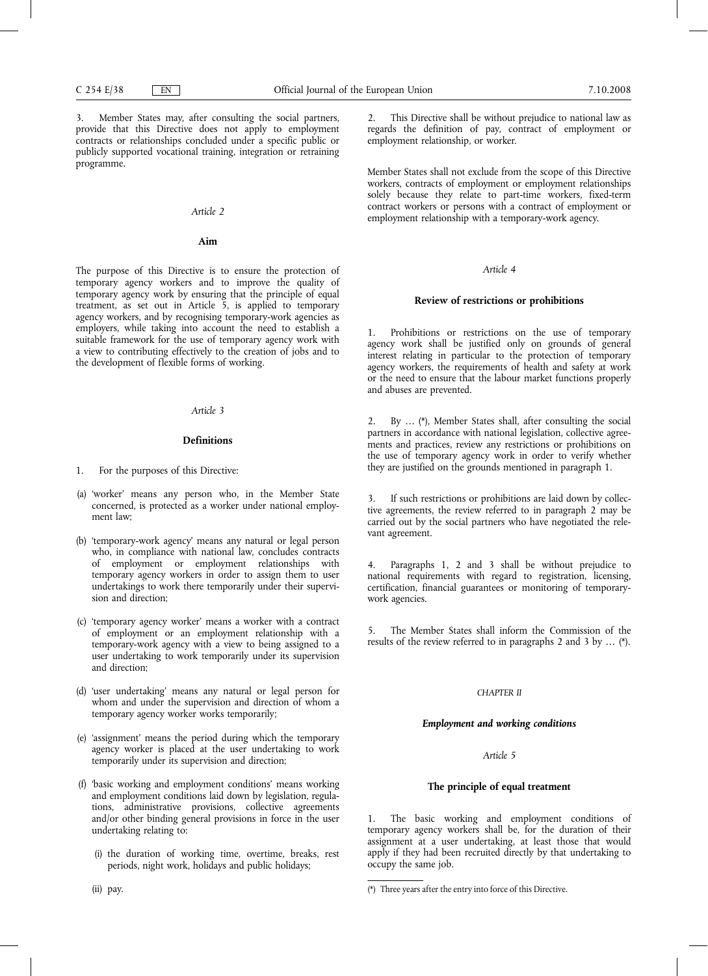3. Member States may, after consulting the social partners, provide that this Directive does not apply to employment contracts or relationships concluded under a specific public or publicly supported vocational training, integration or retraining programme.

### *Article 2*

# **Aim**

The purpose of this Directive is to ensure the protection of temporary agency workers and to improve the quality of temporary agency work by ensuring that the principle of equal treatment, as set out in Article 5, is applied to temporary agency workers, and by recognising temporary-work agencies as employers, while taking into account the need to establish a suitable framework for the use of temporary agency work with a view to contributing effectively to the creation of jobs and to the development of flexible forms of working.

### *Article 3*

# **Definitions**

- 1. For the purposes of this Directive:
- (a) 'worker' means any person who, in the Member State concerned, is protected as a worker under national employment law;
- (b) 'temporary-work agency' means any natural or legal person who, in compliance with national law, concludes contracts of employment or employment relationships with temporary agency workers in order to assign them to user undertakings to work there temporarily under their supervision and direction;
- (c) 'temporary agency worker' means a worker with a contract of employment or an employment relationship with a temporary-work agency with a view to being assigned to a user undertaking to work temporarily under its supervision and direction;
- (d) 'user undertaking' means any natural or legal person for whom and under the supervision and direction of whom a temporary agency worker works temporarily;
- (e) 'assignment' means the period during which the temporary agency worker is placed at the user undertaking to work temporarily under its supervision and direction;
- (f) 'basic working and employment conditions' means working and employment conditions laid down by legislation, regulations, administrative provisions, collective agreements and/or other binding general provisions in force in the user undertaking relating to:
	- (i) the duration of working time, overtime, breaks, rest periods, night work, holidays and public holidays;

(ii) pay.

2. This Directive shall be without prejudice to national law as regards the definition of pay, contract of employment or employment relationship, or worker.

Member States shall not exclude from the scope of this Directive workers, contracts of employment or employment relationships solely because they relate to part-time workers, fixed-term contract workers or persons with a contract of employment or employment relationship with a temporary-work agency.

### *Article 4*

### **Review of restrictions or prohibitions**

1. Prohibitions or restrictions on the use of temporary agency work shall be justified only on grounds of general interest relating in particular to the protection of temporary agency workers, the requirements of health and safety at work or the need to ensure that the labour market functions properly and abuses are prevented.

2. By … (\*), Member States shall, after consulting the social partners in accordance with national legislation, collective agreements and practices, review any restrictions or prohibitions on the use of temporary agency work in order to verify whether they are justified on the grounds mentioned in paragraph 1.

3. If such restrictions or prohibitions are laid down by collective agreements, the review referred to in paragraph 2 may be carried out by the social partners who have negotiated the relevant agreement.

4. Paragraphs 1, 2 and 3 shall be without prejudice to national requirements with regard to registration, licensing, certification, financial guarantees or monitoring of temporarywork agencies.

5. The Member States shall inform the Commission of the results of the review referred to in paragraphs 2 and 3 by … (\*).

### *CHAPTER II*

# *Employment and working conditions*

# *Article 5*

# **The principle of equal treatment**

1. The basic working and employment conditions of temporary agency workers shall be, for the duration of their assignment at a user undertaking, at least those that would apply if they had been recruited directly by that undertaking to occupy the same job.

<sup>(\*)</sup> Three years after the entry into force of this Directive.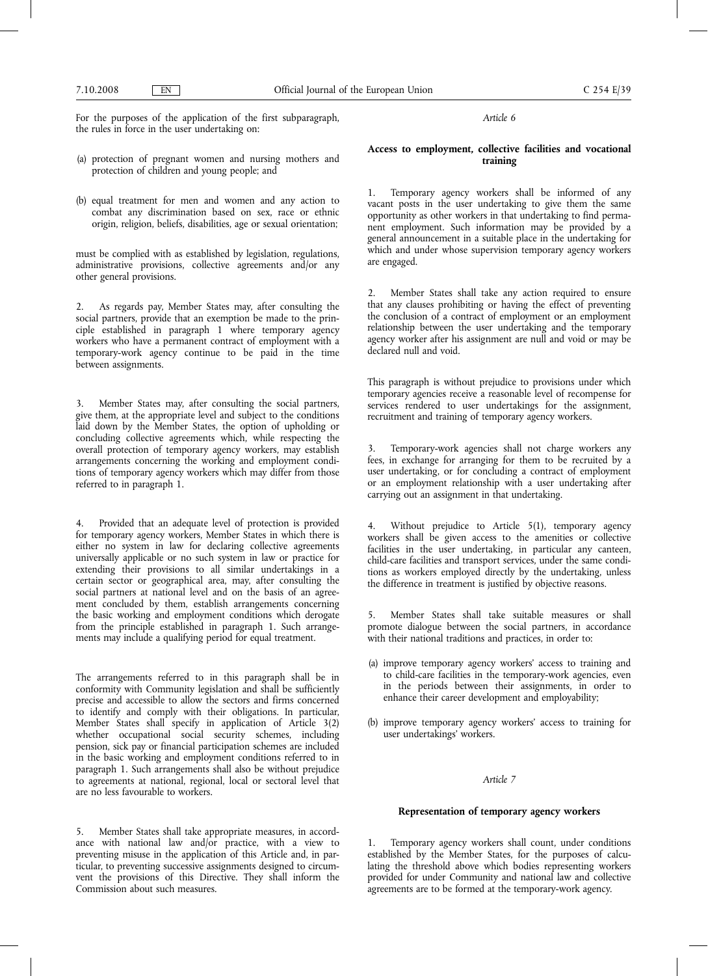For the purposes of the application of the first subparagraph, the rules in force in the user undertaking on:

- (a) protection of pregnant women and nursing mothers and protection of children and young people; and
- (b) equal treatment for men and women and any action to combat any discrimination based on sex, race or ethnic origin, religion, beliefs, disabilities, age or sexual orientation;

must be complied with as established by legislation, regulations, administrative provisions, collective agreements and/or any other general provisions.

2. As regards pay, Member States may, after consulting the social partners, provide that an exemption be made to the principle established in paragraph 1 where temporary agency workers who have a permanent contract of employment with a temporary-work agency continue to be paid in the time between assignments.

3. Member States may, after consulting the social partners, give them, at the appropriate level and subject to the conditions laid down by the Member States, the option of upholding or concluding collective agreements which, while respecting the overall protection of temporary agency workers, may establish arrangements concerning the working and employment conditions of temporary agency workers which may differ from those referred to in paragraph 1.

4. Provided that an adequate level of protection is provided for temporary agency workers, Member States in which there is either no system in law for declaring collective agreements universally applicable or no such system in law or practice for extending their provisions to all similar undertakings in a certain sector or geographical area, may, after consulting the social partners at national level and on the basis of an agreement concluded by them, establish arrangements concerning the basic working and employment conditions which derogate from the principle established in paragraph 1. Such arrangements may include a qualifying period for equal treatment.

The arrangements referred to in this paragraph shall be in conformity with Community legislation and shall be sufficiently precise and accessible to allow the sectors and firms concerned to identify and comply with their obligations. In particular, Member States shall specify in application of Article 3(2) whether occupational social security schemes, including pension, sick pay or financial participation schemes are included in the basic working and employment conditions referred to in paragraph 1. Such arrangements shall also be without prejudice to agreements at national, regional, local or sectoral level that are no less favourable to workers.

5. Member States shall take appropriate measures, in accordance with national law and/or practice, with a view to preventing misuse in the application of this Article and, in particular, to preventing successive assignments designed to circumvent the provisions of this Directive. They shall inform the Commission about such measures.

*Article 6*

# **Access to employment, collective facilities and vocational training**

1. Temporary agency workers shall be informed of any vacant posts in the user undertaking to give them the same opportunity as other workers in that undertaking to find permanent employment. Such information may be provided by a general announcement in a suitable place in the undertaking for which and under whose supervision temporary agency workers are engaged.

2. Member States shall take any action required to ensure that any clauses prohibiting or having the effect of preventing the conclusion of a contract of employment or an employment relationship between the user undertaking and the temporary agency worker after his assignment are null and void or may be declared null and void.

This paragraph is without prejudice to provisions under which temporary agencies receive a reasonable level of recompense for services rendered to user undertakings for the assignment, recruitment and training of temporary agency workers.

3. Temporary-work agencies shall not charge workers any fees, in exchange for arranging for them to be recruited by a user undertaking, or for concluding a contract of employment or an employment relationship with a user undertaking after carrying out an assignment in that undertaking.

4. Without prejudice to Article 5(1), temporary agency workers shall be given access to the amenities or collective facilities in the user undertaking, in particular any canteen, child-care facilities and transport services, under the same conditions as workers employed directly by the undertaking, unless the difference in treatment is justified by objective reasons.

5. Member States shall take suitable measures or shall promote dialogue between the social partners, in accordance with their national traditions and practices, in order to:

- (a) improve temporary agency workers' access to training and to child-care facilities in the temporary-work agencies, even in the periods between their assignments, in order to enhance their career development and employability;
- (b) improve temporary agency workers' access to training for user undertakings' workers.

#### *Article 7*

### **Representation of temporary agency workers**

1. Temporary agency workers shall count, under conditions established by the Member States, for the purposes of calculating the threshold above which bodies representing workers provided for under Community and national law and collective agreements are to be formed at the temporary-work agency.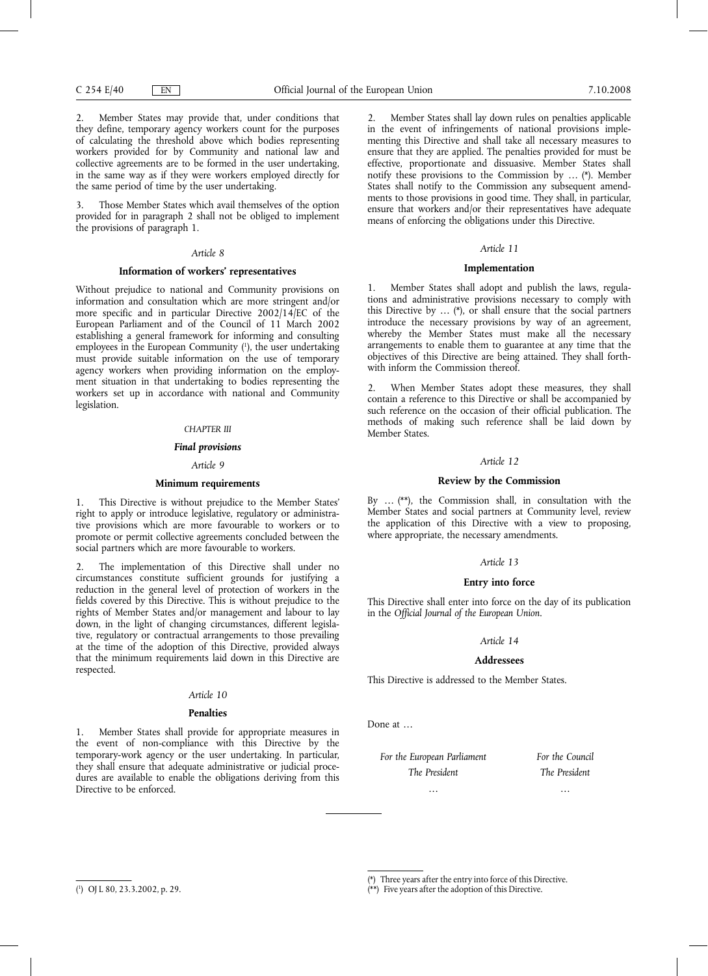2. Member States may provide that, under conditions that they define, temporary agency workers count for the purposes of calculating the threshold above which bodies representing workers provided for by Community and national law and collective agreements are to be formed in the user undertaking, in the same way as if they were workers employed directly for the same period of time by the user undertaking.

3. Those Member States which avail themselves of the option provided for in paragraph 2 shall not be obliged to implement the provisions of paragraph 1.

#### *Article 8*

### **Information of workers' representatives**

Without prejudice to national and Community provisions on information and consultation which are more stringent and/or more specific and in particular Directive 2002/14/EC of the European Parliament and of the Council of 11 March 2002 establishing a general framework for informing and consulting employees in the European Community (1), the user undertaking must provide suitable information on the use of temporary agency workers when providing information on the employment situation in that undertaking to bodies representing the workers set up in accordance with national and Community legislation.

#### *CHAPTER III*

#### *Final provisions*

## *Article 9*

#### **Minimum requirements**

1. This Directive is without prejudice to the Member States' right to apply or introduce legislative, regulatory or administrative provisions which are more favourable to workers or to promote or permit collective agreements concluded between the social partners which are more favourable to workers.

2. The implementation of this Directive shall under no circumstances constitute sufficient grounds for justifying a reduction in the general level of protection of workers in the fields covered by this Directive. This is without prejudice to the rights of Member States and/or management and labour to lay down, in the light of changing circumstances, different legislative, regulatory or contractual arrangements to those prevailing at the time of the adoption of this Directive, provided always that the minimum requirements laid down in this Directive are respected.

### *Article 10*

#### **Penalties**

1. Member States shall provide for appropriate measures in the event of non-compliance with this Directive by the temporary-work agency or the user undertaking. In particular, they shall ensure that adequate administrative or judicial procedures are available to enable the obligations deriving from this Directive to be enforced.

2. Member States shall lay down rules on penalties applicable in the event of infringements of national provisions implementing this Directive and shall take all necessary measures to ensure that they are applied. The penalties provided for must be effective, proportionate and dissuasive. Member States shall notify these provisions to the Commission by … (\*). Member States shall notify to the Commission any subsequent amendments to those provisions in good time. They shall, in particular, ensure that workers and/or their representatives have adequate means of enforcing the obligations under this Directive.

### *Article 11*

#### **Implementation**

1. Member States shall adopt and publish the laws, regulations and administrative provisions necessary to comply with this Directive by … (\*), or shall ensure that the social partners introduce the necessary provisions by way of an agreement, whereby the Member States must make all the necessary arrangements to enable them to guarantee at any time that the objectives of this Directive are being attained. They shall forthwith inform the Commission thereof.

When Member States adopt these measures, they shall contain a reference to this Directive or shall be accompanied by such reference on the occasion of their official publication. The methods of making such reference shall be laid down by Member States.

### *Article 12*

### **Review by the Commission**

By … (\*\*), the Commission shall, in consultation with the Member States and social partners at Community level, review the application of this Directive with a view to proposing, where appropriate, the necessary amendments.

#### *Article 13*

### **Entry into force**

This Directive shall enter into force on the day of its publication in the *Official Journal of the European Union*.

# *Article 14*

#### **Addressees**

This Directive is addressed to the Member States.

Done at …

*For the European Parliament The President*

…

*For the Council The President*

…

<sup>(</sup> 1 ) OJ L 80, 23.3.2002, p. 29.

<sup>(\*)</sup> Three years after the entry into force of this Directive.

<sup>(\*\*)</sup> Five years after the adoption of this Directive.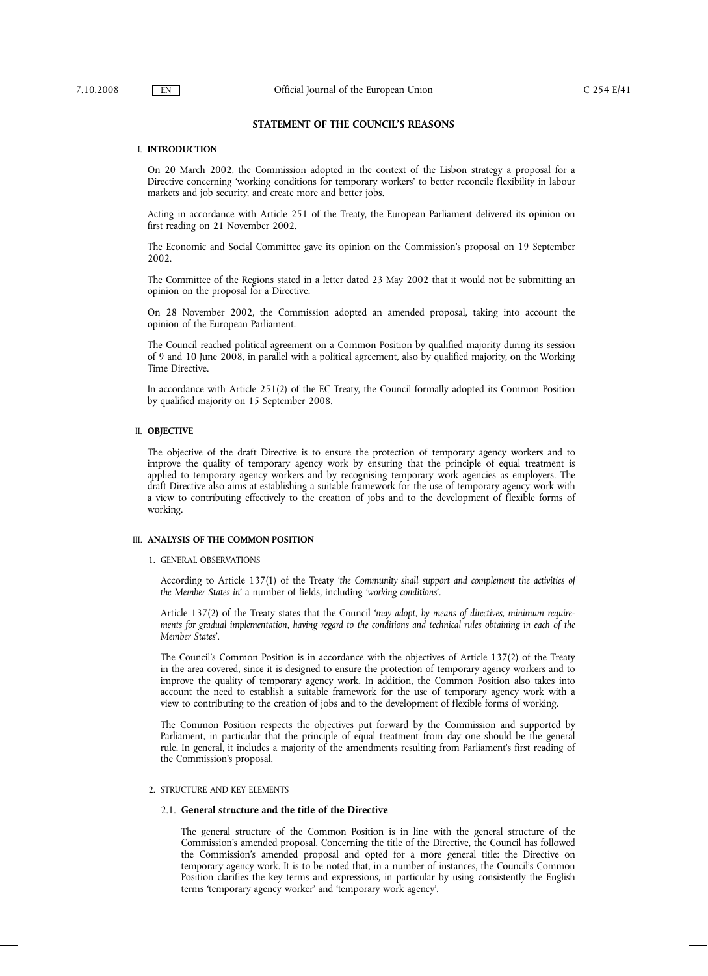# **STATEMENT OF THE COUNCIL'S REASONS**

# I. **INTRODUCTION**

On 20 March 2002, the Commission adopted in the context of the Lisbon strategy a proposal for a Directive concerning 'working conditions for temporary workers' to better reconcile flexibility in labour markets and job security, and create more and better jobs.

Acting in accordance with Article 251 of the Treaty, the European Parliament delivered its opinion on first reading on 21 November 2002.

The Economic and Social Committee gave its opinion on the Commission's proposal on 19 September 2002.

The Committee of the Regions stated in a letter dated 23 May 2002 that it would not be submitting an opinion on the proposal for a Directive.

On 28 November 2002, the Commission adopted an amended proposal, taking into account the opinion of the European Parliament.

The Council reached political agreement on a Common Position by qualified majority during its session of 9 and 10 June 2008, in parallel with a political agreement, also by qualified majority, on the Working Time Directive.

In accordance with Article 251(2) of the EC Treaty, the Council formally adopted its Common Position by qualified majority on 15 September 2008.

# II. **OBJECTIVE**

The objective of the draft Directive is to ensure the protection of temporary agency workers and to improve the quality of temporary agency work by ensuring that the principle of equal treatment is applied to temporary agency workers and by recognising temporary work agencies as employers. The draft Directive also aims at establishing a suitable framework for the use of temporary agency work with a view to contributing effectively to the creation of jobs and to the development of flexible forms of working.

### III. **ANALYSIS OF THE COMMON POSITION**

1. GENERAL OBSERVATIONS

According to Article 137(1) of the Treaty '*the Community shall support and complement the activities of the Member States in*' a number of fields, including '*working conditions*'.

Article 137(2) of the Treaty states that the Council '*may adopt, by means of directives, minimum requirements for gradual implementation, having regard to the conditions and technical rules obtaining in each of the Member States*'.

The Council's Common Position is in accordance with the objectives of Article 137(2) of the Treaty in the area covered, since it is designed to ensure the protection of temporary agency workers and to improve the quality of temporary agency work. In addition, the Common Position also takes into account the need to establish a suitable framework for the use of temporary agency work with a view to contributing to the creation of jobs and to the development of flexible forms of working.

The Common Position respects the objectives put forward by the Commission and supported by Parliament, in particular that the principle of equal treatment from day one should be the general rule. In general, it includes a majority of the amendments resulting from Parliament's first reading of the Commission's proposal.

### 2. STRUCTURE AND KEY ELEMENTS

# 2.1. **General structure and the title of the Directive**

The general structure of the Common Position is in line with the general structure of the Commission's amended proposal. Concerning the title of the Directive, the Council has followed the Commission's amended proposal and opted for a more general title: the Directive on temporary agency work. It is to be noted that, in a number of instances, the Council's Common Position clarifies the key terms and expressions, in particular by using consistently the English terms 'temporary agency worker' and 'temporary work agency'.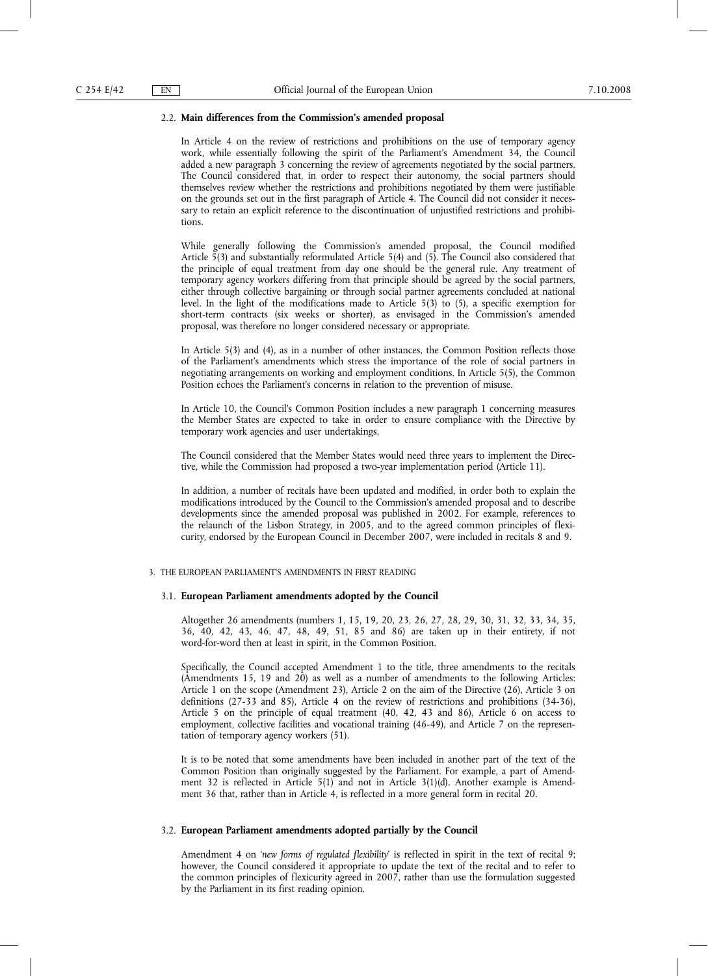#### 2.2. **Main differences from the Commission's amended proposal**

In Article 4 on the review of restrictions and prohibitions on the use of temporary agency work, while essentially following the spirit of the Parliament's Amendment 34, the Council added a new paragraph 3 concerning the review of agreements negotiated by the social partners. The Council considered that, in order to respect their autonomy, the social partners should themselves review whether the restrictions and prohibitions negotiated by them were justifiable on the grounds set out in the first paragraph of Article 4. The Council did not consider it necessary to retain an explicit reference to the discontinuation of unjustified restrictions and prohibitions.

While generally following the Commission's amended proposal, the Council modified Article 5(3) and substantially reformulated Article 5(4) and (5). The Council also considered that the principle of equal treatment from day one should be the general rule. Any treatment of temporary agency workers differing from that principle should be agreed by the social partners, either through collective bargaining or through social partner agreements concluded at national level. In the light of the modifications made to Article 5(3) to (5), a specific exemption for short-term contracts (six weeks or shorter), as envisaged in the Commission's amended proposal, was therefore no longer considered necessary or appropriate.

In Article 5(3) and (4), as in a number of other instances, the Common Position reflects those of the Parliament's amendments which stress the importance of the role of social partners in negotiating arrangements on working and employment conditions. In Article 5(5), the Common Position echoes the Parliament's concerns in relation to the prevention of misuse.

In Article 10, the Council's Common Position includes a new paragraph 1 concerning measures the Member States are expected to take in order to ensure compliance with the Directive by temporary work agencies and user undertakings.

The Council considered that the Member States would need three years to implement the Directive, while the Commission had proposed a two-year implementation period (Article 11).

In addition, a number of recitals have been updated and modified, in order both to explain the modifications introduced by the Council to the Commission's amended proposal and to describe developments since the amended proposal was published in 2002. For example, references to the relaunch of the Lisbon Strategy, in 2005, and to the agreed common principles of flexicurity, endorsed by the European Council in December 2007, were included in recitals 8 and 9.

### 3. THE EUROPEAN PARLIAMENT'S AMENDMENTS IN FIRST READING

### 3.1. **European Parliament amendments adopted by the Council**

Altogether 26 amendments (numbers 1, 15, 19, 20, 23, 26, 27, 28, 29, 30, 31, 32, 33, 34, 35, 36, 40, 42, 43, 46, 47, 48, 49, 51, 85 and 86) are taken up in their entirety, if not word-for-word then at least in spirit, in the Common Position.

Specifically, the Council accepted Amendment 1 to the title, three amendments to the recitals (Amendments 15, 19 and 20) as well as a number of amendments to the following Articles: Article 1 on the scope (Amendment 23), Article 2 on the aim of the Directive (26), Article 3 on definitions (27-33 and 85), Article 4 on the review of restrictions and prohibitions (34-36), Article 5 on the principle of equal treatment (40, 42, 43 and 86), Article 6 on access to employment, collective facilities and vocational training (46-49), and Article 7 on the representation of temporary agency workers (51).

It is to be noted that some amendments have been included in another part of the text of the Common Position than originally suggested by the Parliament. For example, a part of Amendment 32 is reflected in Article 5(1) and not in Article 3(1)(d). Another example is Amendment 36 that, rather than in Article 4, is reflected in a more general form in recital 20.

# 3.2. **European Parliament amendments adopted partially by the Council**

Amendment 4 on '*new forms of regulated flexibility*' is reflected in spirit in the text of recital 9; however, the Council considered it appropriate to update the text of the recital and to refer to the common principles of flexicurity agreed in 2007, rather than use the formulation suggested by the Parliament in its first reading opinion.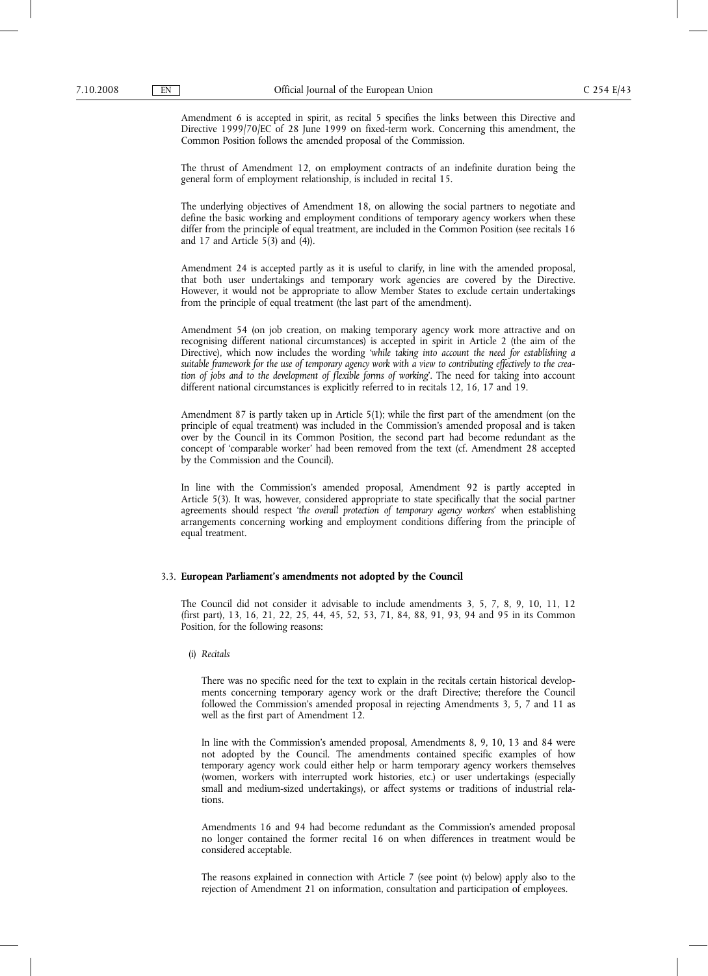Amendment 6 is accepted in spirit, as recital 5 specifies the links between this Directive and Directive 1999/70/EC of 28 June 1999 on fixed-term work. Concerning this amendment, the Common Position follows the amended proposal of the Commission.

The thrust of Amendment 12, on employment contracts of an indefinite duration being the general form of employment relationship, is included in recital 15.

The underlying objectives of Amendment 18, on allowing the social partners to negotiate and define the basic working and employment conditions of temporary agency workers when these differ from the principle of equal treatment, are included in the Common Position (see recitals 16 and 17 and Article  $5(3)$  and  $(4)$ ).

Amendment 24 is accepted partly as it is useful to clarify, in line with the amended proposal, that both user undertakings and temporary work agencies are covered by the Directive. However, it would not be appropriate to allow Member States to exclude certain undertakings from the principle of equal treatment (the last part of the amendment).

Amendment 54 (on job creation, on making temporary agency work more attractive and on recognising different national circumstances) is accepted in spirit in Article 2 (the aim of the Directive), which now includes the wording '*while taking into account the need for establishing a suitable framework for the use of temporary agency work with a view to contributing effectively to the creation of jobs and to the development of flexible forms of working*'. The need for taking into account different national circumstances is explicitly referred to in recitals 12, 16, 17 and 19.

Amendment 87 is partly taken up in Article 5(1); while the first part of the amendment (on the principle of equal treatment) was included in the Commission's amended proposal and is taken over by the Council in its Common Position, the second part had become redundant as the concept of 'comparable worker' had been removed from the text (cf. Amendment 28 accepted by the Commission and the Council).

In line with the Commission's amended proposal, Amendment 92 is partly accepted in Article 5(3). It was, however, considered appropriate to state specifically that the social partner agreements should respect '*the overall protection of temporary agency workers*' when establishing arrangements concerning working and employment conditions differing from the principle of equal treatment.

# 3.3. **European Parliament's amendments not adopted by the Council**

The Council did not consider it advisable to include amendments 3, 5, 7, 8, 9, 10, 11, 12 (first part), 13, 16, 21, 22, 25, 44, 45, 52, 53, 71, 84, 88, 91, 93, 94 and 95 in its Common Position, for the following reasons:

(i) *Recitals*

There was no specific need for the text to explain in the recitals certain historical developments concerning temporary agency work or the draft Directive; therefore the Council followed the Commission's amended proposal in rejecting Amendments 3, 5, 7 and 11 as well as the first part of Amendment 12.

In line with the Commission's amended proposal, Amendments 8, 9, 10, 13 and 84 were not adopted by the Council. The amendments contained specific examples of how temporary agency work could either help or harm temporary agency workers themselves (women, workers with interrupted work histories, etc.) or user undertakings (especially small and medium-sized undertakings), or affect systems or traditions of industrial relations.

Amendments 16 and 94 had become redundant as the Commission's amended proposal no longer contained the former recital 16 on when differences in treatment would be considered acceptable.

The reasons explained in connection with Article 7 (see point (v) below) apply also to the rejection of Amendment 21 on information, consultation and participation of employees.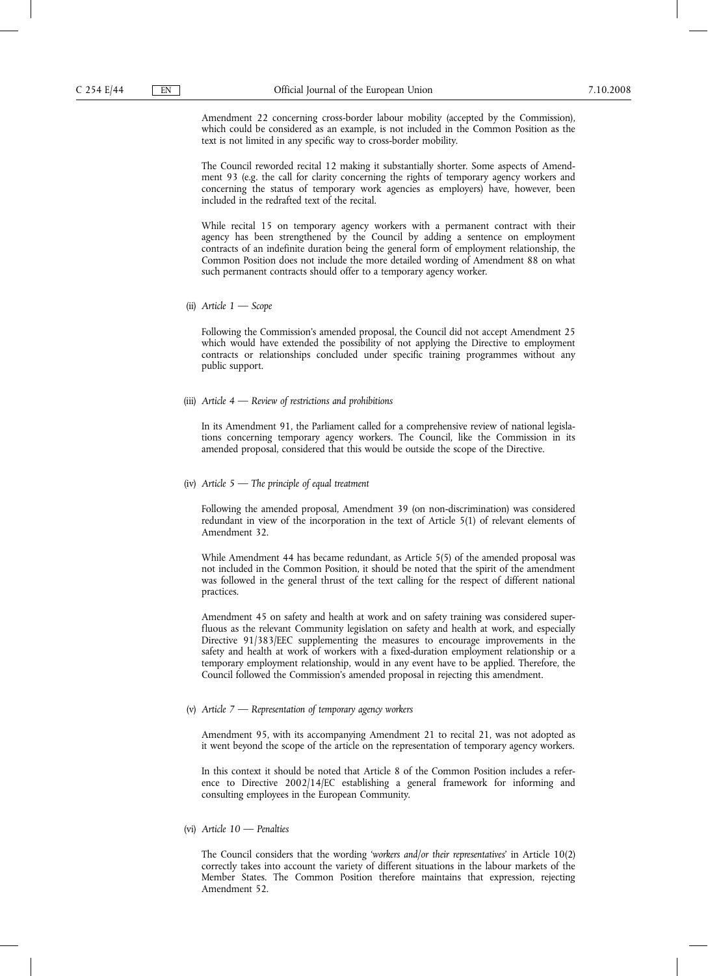Amendment 22 concerning cross-border labour mobility (accepted by the Commission), which could be considered as an example, is not included in the Common Position as the text is not limited in any specific way to cross-border mobility.

The Council reworded recital 12 making it substantially shorter. Some aspects of Amendment 93 (e.g. the call for clarity concerning the rights of temporary agency workers and concerning the status of temporary work agencies as employers) have, however, been included in the redrafted text of the recital.

While recital 15 on temporary agency workers with a permanent contract with their agency has been strengthened by the Council by adding a sentence on employment contracts of an indefinite duration being the general form of employment relationship, the Common Position does not include the more detailed wording of Amendment 88 on what such permanent contracts should offer to a temporary agency worker.

(ii) *Article 1 — Scope*

Following the Commission's amended proposal, the Council did not accept Amendment 25 which would have extended the possibility of not applying the Directive to employment contracts or relationships concluded under specific training programmes without any public support.

(iii) *Article 4 — Review of restrictions and prohibitions*

In its Amendment 91, the Parliament called for a comprehensive review of national legislations concerning temporary agency workers. The Council, like the Commission in its amended proposal, considered that this would be outside the scope of the Directive.

(iv) *Article 5 — The principle of equal treatment*

Following the amended proposal, Amendment 39 (on non-discrimination) was considered redundant in view of the incorporation in the text of Article 5(1) of relevant elements of Amendment 32.

While Amendment 44 has became redundant, as Article 5(5) of the amended proposal was not included in the Common Position, it should be noted that the spirit of the amendment was followed in the general thrust of the text calling for the respect of different national practices.

Amendment 45 on safety and health at work and on safety training was considered superfluous as the relevant Community legislation on safety and health at work, and especially Directive 91/383/EEC supplementing the measures to encourage improvements in the safety and health at work of workers with a fixed-duration employment relationship or a temporary employment relationship, would in any event have to be applied. Therefore, the Council followed the Commission's amended proposal in rejecting this amendment.

### (v) *Article 7 — Representation of temporary agency workers*

Amendment 95, with its accompanying Amendment 21 to recital 21, was not adopted as it went beyond the scope of the article on the representation of temporary agency workers.

In this context it should be noted that Article 8 of the Common Position includes a reference to Directive 2002/14/EC establishing a general framework for informing and consulting employees in the European Community.

(vi) *Article 10 — Penalties*

The Council considers that the wording '*workers and/or their representatives*' in Article 10(2) correctly takes into account the variety of different situations in the labour markets of the Member States. The Common Position therefore maintains that expression, rejecting Amendment 52.